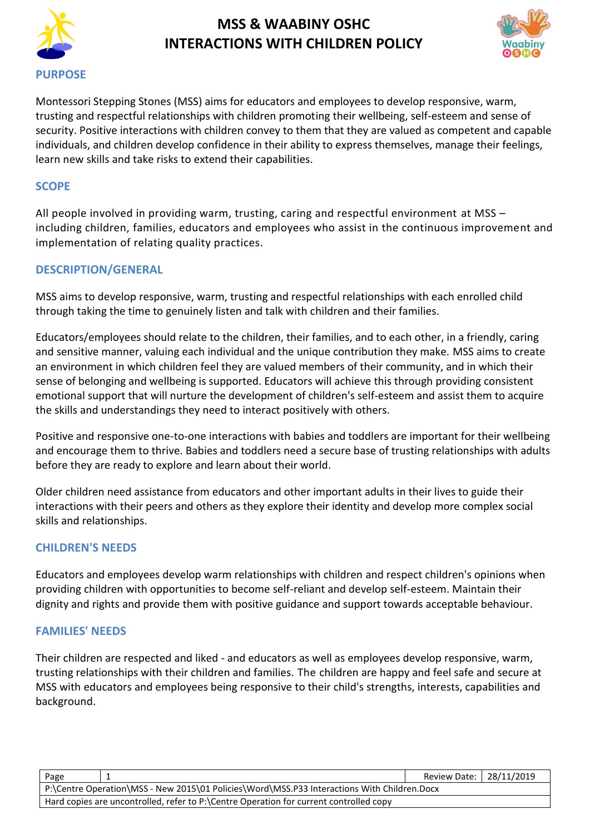



Montessori Stepping Stones (MSS) aims for educators and employees to develop responsive, warm, trusting and respectful relationships with children promoting their wellbeing, self-esteem and sense of security. Positive interactions with children convey to them that they are valued as competent and capable individuals, and children develop confidence in their ability to express themselves, manage their feelings, learn new skills and take risks to extend their capabilities.

#### **SCOPE**

All people involved in providing warm, trusting, caring and respectful environment at MSS – including children, families, educators and employees who assist in the continuous improvement and implementation of relating quality practices.

### **DESCRIPTION/GENERAL**

MSS aims to develop responsive, warm, trusting and respectful relationships with each enrolled child through taking the time to genuinely listen and talk with children and their families.

Educators/employees should relate to the children, their families, and to each other, in a friendly, caring and sensitive manner, valuing each individual and the unique contribution they make. MSS aims to create an environment in which children feel they are valued members of their community, and in which their sense of belonging and wellbeing is supported. Educators will achieve this through providing consistent emotional support that will nurture the development of children's self-esteem and assist them to acquire the skills and understandings they need to interact positively with others.

Positive and responsive one-to-one interactions with babies and toddlers are important for their wellbeing and encourage them to thrive. Babies and toddlers need a secure base of trusting relationships with adults before they are ready to explore and learn about their world.

Older children need assistance from educators and other important adults in their lives to guide their interactions with their peers and others as they explore their identity and develop more complex social skills and relationships.

#### **CHILDREN'S NEEDS**

Educators and employees develop warm relationships with children and respect children's opinions when providing children with opportunities to become self-reliant and develop self-esteem. Maintain their dignity and rights and provide them with positive guidance and support towards acceptable behaviour.

#### **FAMILIES' NEEDS**

Their children are respected and liked - and educators as well as employees develop responsive, warm, trusting relationships with their children and families. The children are happy and feel safe and secure at MSS with educators and employees being responsive to their child's strengths, interests, capabilities and background.

| Page                                                                                        | Review Date:   28/11/2019 |  |  |
|---------------------------------------------------------------------------------------------|---------------------------|--|--|
| P:\Centre Operation\MSS - New 2015\01 Policies\Word\MSS.P33 Interactions With Children.Docx |                           |  |  |
| Hard copies are uncontrolled, refer to P:\Centre Operation for current controlled copy      |                           |  |  |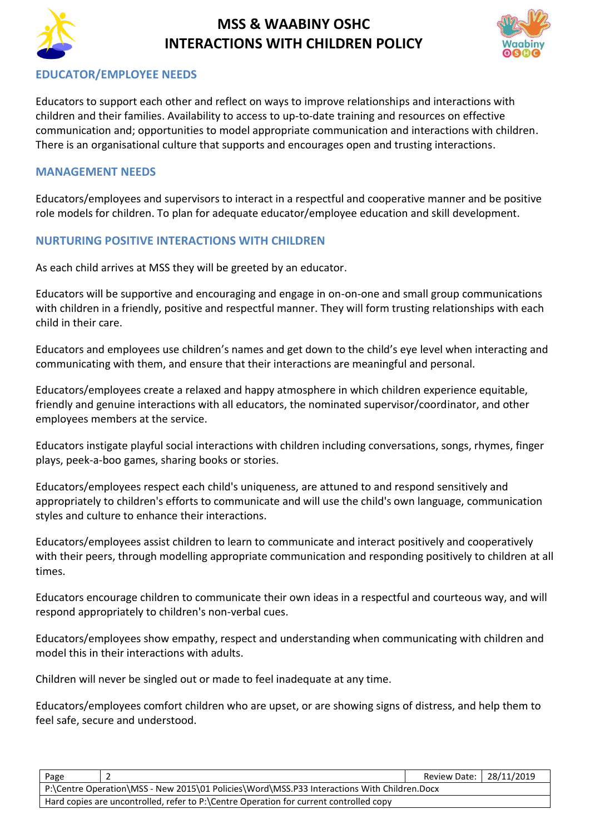



### **EDUCATOR/EMPLOYEE NEEDS**

Educators to support each other and reflect on ways to improve relationships and interactions with children and their families. Availability to access to up-to-date training and resources on effective communication and; opportunities to model appropriate communication and interactions with children. There is an organisational culture that supports and encourages open and trusting interactions.

#### **MANAGEMENT NEEDS**

Educators/employees and supervisors to interact in a respectful and cooperative manner and be positive role models for children. To plan for adequate educator/employee education and skill development.

### **NURTURING POSITIVE INTERACTIONS WITH CHILDREN**

As each child arrives at MSS they will be greeted by an educator.

Educators will be supportive and encouraging and engage in on-on-one and small group communications with children in a friendly, positive and respectful manner. They will form trusting relationships with each child in their care.

Educators and employees use children's names and get down to the child's eye level when interacting and communicating with them, and ensure that their interactions are meaningful and personal.

Educators/employees create a relaxed and happy atmosphere in which children experience equitable, friendly and genuine interactions with all educators, the nominated supervisor/coordinator, and other employees members at the service.

Educators instigate playful social interactions with children including conversations, songs, rhymes, finger plays, peek-a-boo games, sharing books or stories.

Educators/employees respect each child's uniqueness, are attuned to and respond sensitively and appropriately to children's efforts to communicate and will use the child's own language, communication styles and culture to enhance their interactions.

Educators/employees assist children to learn to communicate and interact positively and cooperatively with their peers, through modelling appropriate communication and responding positively to children at all times.

Educators encourage children to communicate their own ideas in a respectful and courteous way, and will respond appropriately to children's non-verbal cues.

Educators/employees show empathy, respect and understanding when communicating with children and model this in their interactions with adults.

Children will never be singled out or made to feel inadequate at any time.

Educators/employees comfort children who are upset, or are showing signs of distress, and help them to feel safe, secure and understood.

|                                                                                             | Page                                                                                   |  | Review Date:   28/11/2019 |  |
|---------------------------------------------------------------------------------------------|----------------------------------------------------------------------------------------|--|---------------------------|--|
| P:\Centre Operation\MSS - New 2015\01 Policies\Word\MSS.P33 Interactions With Children.Docx |                                                                                        |  |                           |  |
|                                                                                             | Hard copies are uncontrolled, refer to P:\Centre Operation for current controlled copy |  |                           |  |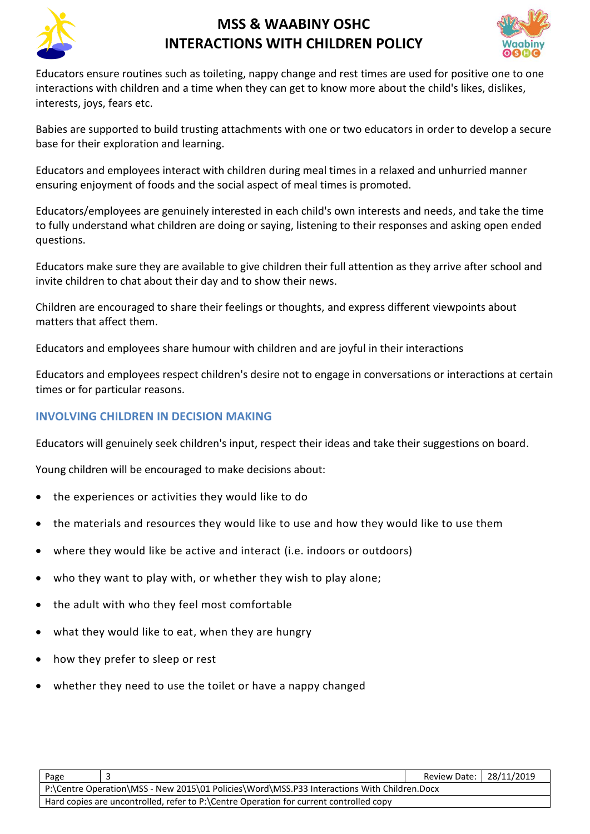



Educators ensure routines such as toileting, nappy change and rest times are used for positive one to one interactions with children and a time when they can get to know more about the child's likes, dislikes, interests, joys, fears etc.

Babies are supported to build trusting attachments with one or two educators in order to develop a secure base for their exploration and learning.

Educators and employees interact with children during meal times in a relaxed and unhurried manner ensuring enjoyment of foods and the social aspect of meal times is promoted.

Educators/employees are genuinely interested in each child's own interests and needs, and take the time to fully understand what children are doing or saying, listening to their responses and asking open ended questions.

Educators make sure they are available to give children their full attention as they arrive after school and invite children to chat about their day and to show their news.

Children are encouraged to share their feelings or thoughts, and express different viewpoints about matters that affect them.

Educators and employees share humour with children and are joyful in their interactions

Educators and employees respect children's desire not to engage in conversations or interactions at certain times or for particular reasons.

### **INVOLVING CHILDREN IN DECISION MAKING**

Educators will genuinely seek children's input, respect their ideas and take their suggestions on board.

Young children will be encouraged to make decisions about:

- the experiences or activities they would like to do
- the materials and resources they would like to use and how they would like to use them
- where they would like be active and interact (i.e. indoors or outdoors)
- who they want to play with, or whether they wish to play alone;
- the adult with who they feel most comfortable
- what they would like to eat, when they are hungry
- how they prefer to sleep or rest
- whether they need to use the toilet or have a nappy changed

| Page                                                                                        |  | Review Date:   28/11/2019 |  |
|---------------------------------------------------------------------------------------------|--|---------------------------|--|
| P:\Centre Operation\MSS - New 2015\01 Policies\Word\MSS.P33 Interactions With Children.Docx |  |                           |  |
| Hard copies are uncontrolled, refer to P:\Centre Operation for current controlled copy      |  |                           |  |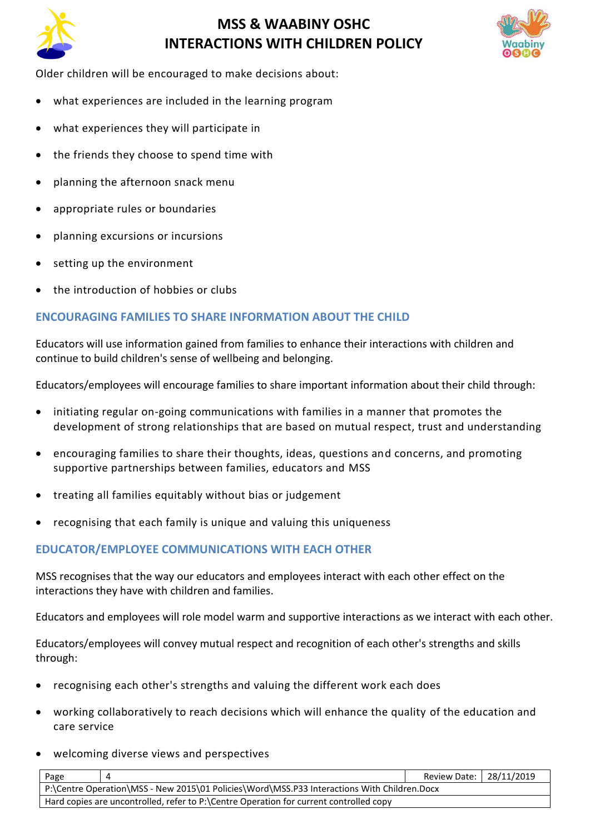



Older children will be encouraged to make decisions about:

- what experiences are included in the learning program
- what experiences they will participate in
- the friends they choose to spend time with
- planning the afternoon snack menu
- appropriate rules or boundaries
- planning excursions or incursions
- setting up the environment
- the introduction of hobbies or clubs

#### **ENCOURAGING FAMILIES TO SHARE INFORMATION ABOUT THE CHILD**

Educators will use information gained from families to enhance their interactions with children and continue to build children's sense of wellbeing and belonging.

Educators/employees will encourage families to share important information about their child through:

- initiating regular on-going communications with families in a manner that promotes the development of strong relationships that are based on mutual respect, trust and understanding
- encouraging families to share their thoughts, ideas, questions and concerns, and promoting supportive partnerships between families, educators and MSS
- treating all families equitably without bias or judgement
- recognising that each family is unique and valuing this uniqueness

### **EDUCATOR/EMPLOYEE COMMUNICATIONS WITH EACH OTHER**

MSS recognises that the way our educators and employees interact with each other effect on the interactions they have with children and families.

Educators and employees will role model warm and supportive interactions as we interact with each other.

Educators/employees will convey mutual respect and recognition of each other's strengths and skills through:

- recognising each other's strengths and valuing the different work each does
- working collaboratively to reach decisions which will enhance the quality of the education and care service
- welcoming diverse views and perspectives

| Page                                                                                        | Review Date:   28/11/2019 |  |  |
|---------------------------------------------------------------------------------------------|---------------------------|--|--|
| P:\Centre Operation\MSS - New 2015\01 Policies\Word\MSS.P33 Interactions With Children.Docx |                           |  |  |
| Hard copies are uncontrolled, refer to P:\Centre Operation for current controlled copy      |                           |  |  |